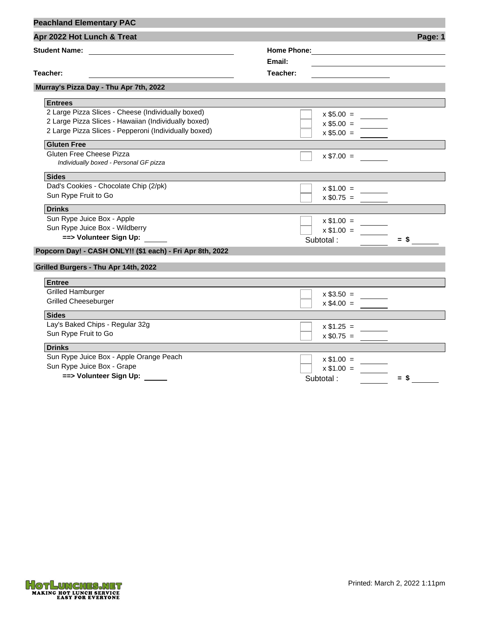| <b>Peachland Elementary PAC</b>                               |                    |                                                                                                                        |
|---------------------------------------------------------------|--------------------|------------------------------------------------------------------------------------------------------------------------|
| Apr 2022 Hot Lunch & Treat                                    |                    | Page: 1                                                                                                                |
| Student Name: <u>________________________________</u>         | <b>Home Phone:</b> | <u> 1989 - Johann Stoff, deutscher Stoffen und der Stoffen und der Stoffen und der Stoffen und der Stoffen und der</u> |
|                                                               | Email:             | <u> 1980 - Johann Barbara, martin d</u> e brezhon eo ar bet                                                            |
| Teacher:<br><u> 1980 - Johann Barbara, martxa alemaniar a</u> | Teacher:           |                                                                                                                        |
| Murray's Pizza Day - Thu Apr 7th, 2022                        |                    |                                                                                                                        |
| <b>Entrees</b>                                                |                    |                                                                                                                        |
| 2 Large Pizza Slices - Cheese (Individually boxed)            | $x $5.00 =$        |                                                                                                                        |
| 2 Large Pizza Slices - Hawaiian (Individually boxed)          | $x $5.00 =$        |                                                                                                                        |
| 2 Large Pizza Slices - Pepperoni (Individually boxed)         | $x $5.00 =$        |                                                                                                                        |
|                                                               |                    |                                                                                                                        |
| <b>Gluten Free</b>                                            |                    |                                                                                                                        |
| Gluten Free Cheese Pizza                                      | $x \$7.00 =$       |                                                                                                                        |
| Individually boxed - Personal GF pizza                        |                    |                                                                                                                        |
| <b>Sides</b>                                                  |                    |                                                                                                                        |
| Dad's Cookies - Chocolate Chip (2/pk)                         | $x $1.00 =$        |                                                                                                                        |
| Sun Rype Fruit to Go                                          | $x $0.75 =$        |                                                                                                                        |
| <b>Drinks</b>                                                 |                    |                                                                                                                        |
| Sun Rype Juice Box - Apple                                    | $x \$1.00 =$       |                                                                                                                        |
| Sun Rype Juice Box - Wildberry                                | $x $1.00 =$        |                                                                                                                        |
| ==> Volunteer Sign Up:                                        | Subtotal:          | $=$ \$                                                                                                                 |
| Popcorn Day! - CASH ONLY!! (\$1 each) - Fri Apr 8th, 2022     |                    |                                                                                                                        |
|                                                               |                    |                                                                                                                        |
| Grilled Burgers - Thu Apr 14th, 2022                          |                    |                                                                                                                        |
| <b>Entree</b>                                                 |                    |                                                                                                                        |
| <b>Grilled Hamburger</b>                                      | $x $3.50 =$        |                                                                                                                        |
| <b>Grilled Cheeseburger</b>                                   | $x $4.00 =$        |                                                                                                                        |
| <b>Sides</b>                                                  |                    |                                                                                                                        |
| Lay's Baked Chips - Regular 32g                               | $x $1.25 =$        |                                                                                                                        |
| Sun Rype Fruit to Go                                          | $x $0.75 =$        |                                                                                                                        |
| <b>Drinks</b>                                                 |                    |                                                                                                                        |
| Sun Rype Juice Box - Apple Orange Peach                       |                    |                                                                                                                        |
| Sun Rype Juice Box - Grape                                    | $x $1.00 =$        |                                                                                                                        |
| ==> Volunteer Sign Up:                                        | $x $1.00 =$        |                                                                                                                        |
|                                                               | Subtotal:          | $=$ \$                                                                                                                 |